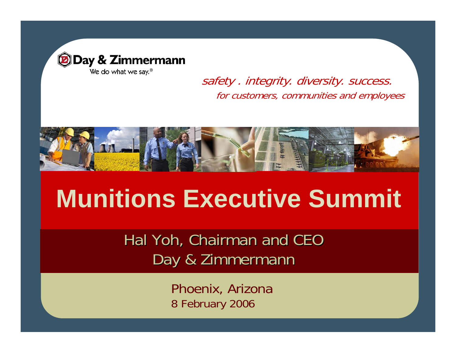

safety . integrity. diversity. success. for customers, communities and employees



# **Munitions Executive Summit**

Hal Yoh, Chairman and CEO Day & Zimmermann

> Phoenix, Arizona 8 February 2006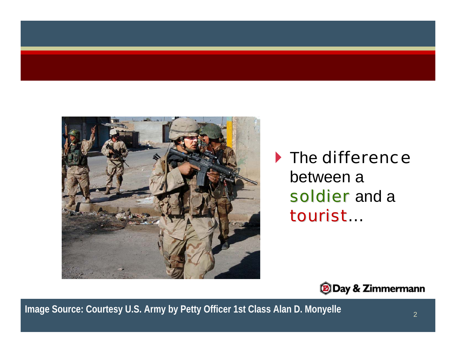

#### $\blacktriangleright$  The difference between asoldier and a tourist..



**Image Source: Courtesy U.S. Army by Petty Officer 1st Class Alan D. Monyelle**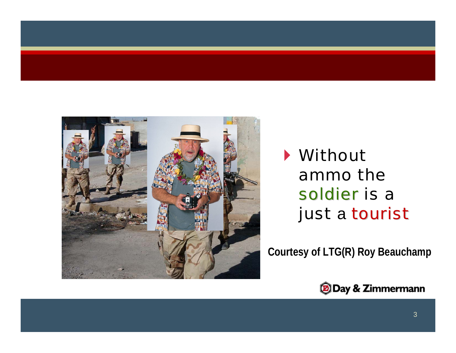

#### ` Without ammo the soldier is a just a tourist

**Courtesy of LTG(R) Roy Beauchamp**

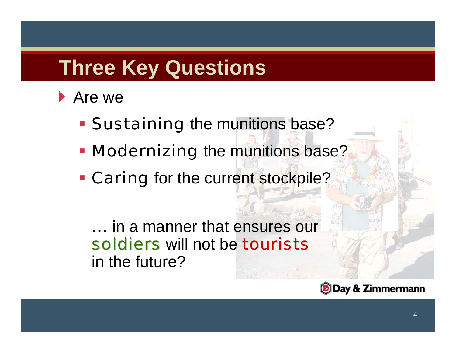# **Three Key Questions**

#### ▶ Are we

- **Sustaining the munitions base?**
- **Nodernizing** the munitions base?
- **Caring** for the current stockpile?

… in a manner that ensures our soldiers will not be tourists in the future?

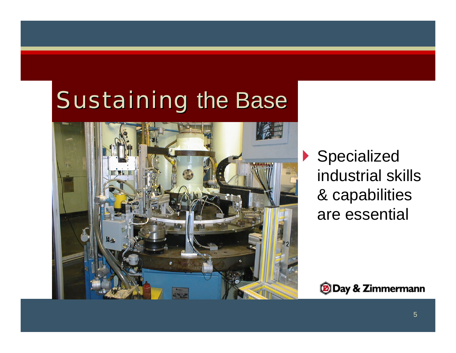

▶ Specialized industrial skills & capabilities are essential

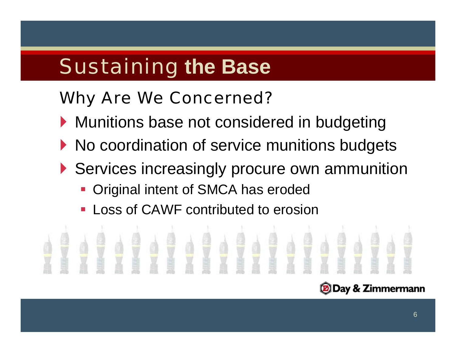### Why Are We Concerned?

- ` Munitions base not considered in budgeting
- $\blacktriangleright$  No coordination of service munitions budgets
- ` Services increasingly procure own ammunition
	- Original intent of SMCA has eroded
	- Loss of CAWF contributed to erosion

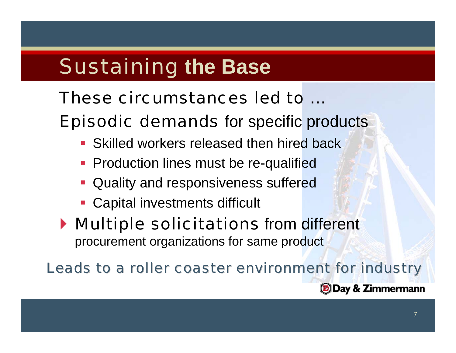#### These circumstances led to …

Episodic demands for specific products

- **Skilled workers released then hired back**
- **Production lines must be re-qualified**
- **Quality and responsiveness suffered**
- **Capital investments difficult**

**Multiple solicitations** from different procurement organizations for same product

Leads to a roller coaster environment for industry

**DDay & Zimmermann**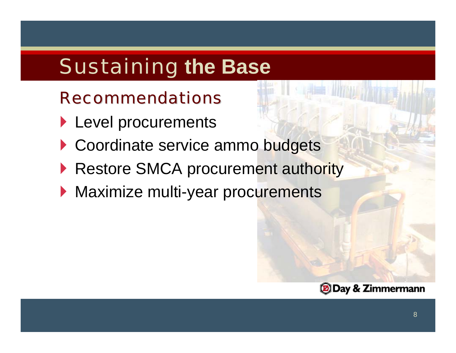#### **Recommendations**

- ` Level procurements
- Coordinate service ammo budgets
- **Restore SMCA procurement authority**
- **Maximize multi-year procurements**

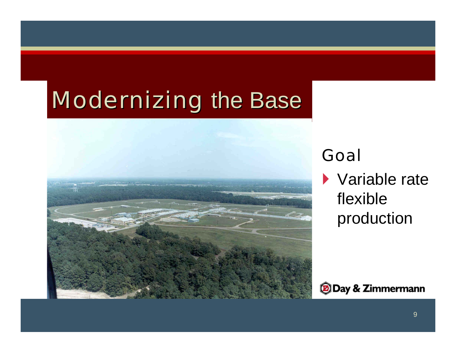

#### Goal

 $\blacktriangleright$  Variable rate flexible production

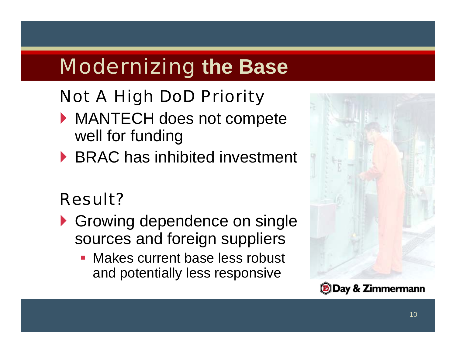## Not A High DoD Priority

- ` MANTECH does not compete well for funding
- ▶ BRAC has inhibited investment

### Result?

- **S** Growing dependence on single sources and foreign suppliers
	- **Makes current base less robust** and potentially less responsive

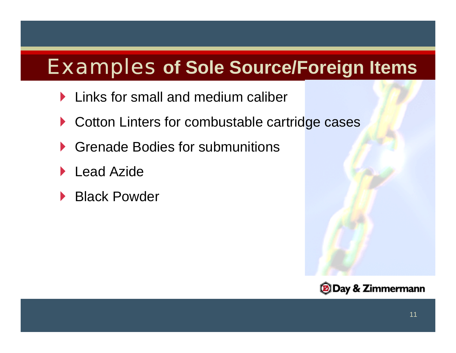## Examples **of Sole Source/Foreign Items**

- **Links for small and medium caliber**
- ▶ Cotton Linters for combustable cartridge cases
- ▶ Grenade Bodies for submunitions
- $\blacktriangleright$ Lead Azide
- ▶ Black Powder

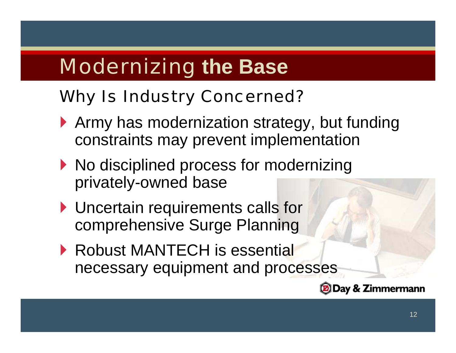### Why Is Industry Concerned?

- ` Army has modernization strategy, but funding constraints may prevent implementation
- $\blacktriangleright$  No disciplined process for modernizing privately-owned base
- **I** Uncertain requirements calls for comprehensive Surge Planning
- ▶ Robust MANTECH is essential necessary equipment and processes

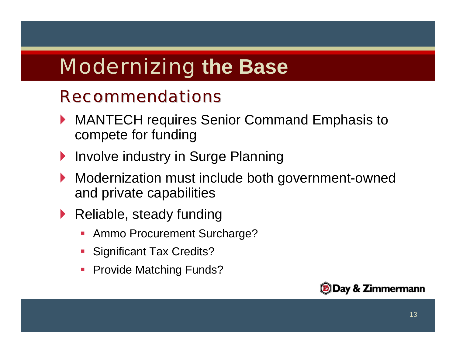#### **Recommendations**

- ▶ MANTECH requires Senior Command Emphasis to compete for funding
- **Involve industry in Surge Planning**
- **Modernization must include both government-owned** and private capabilities
- **Reliable, steady funding** 
	- T. Ammo Procurement Surcharge?
	- **Significant Tax Credits?**
	- **Contract Contract Contract Contract Contract Contract Contract Contract Contract Contract Contract Contract Co** Provide Matching Funds?

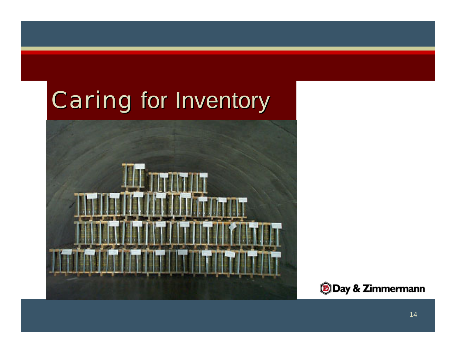# Caring for Inventory



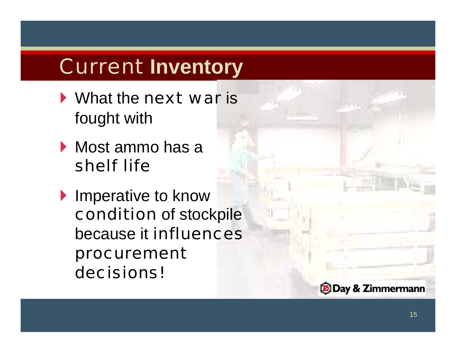- **What the next war is** fought with
- **Most ammo has a** shelf life
- **Imperative to know** condition of stockpile because it influences procurement decisions!

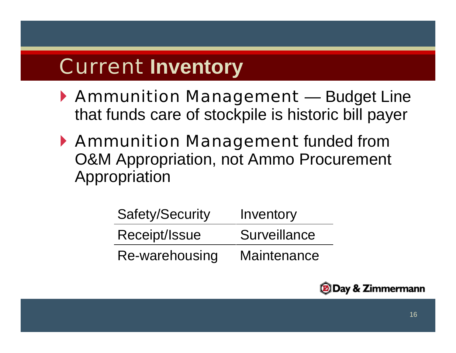- ` Ammunition Management Budget Line that funds care of stockpile is historic bill payer
- ` Ammunition Management funded from O&M Appropriation, not Ammo Procurement Appropriation

| Safety/Security | Inventory    |
|-----------------|--------------|
| Receipt/Issue   | Surveillance |
| Re-warehousing  | Maintenance  |

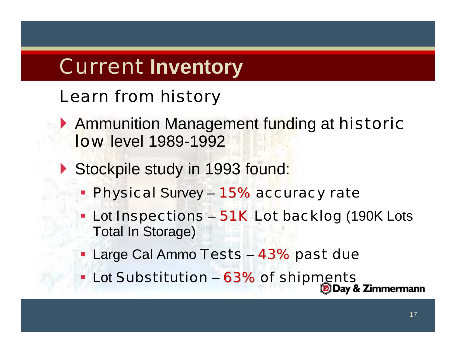### Learn from history

- **Ammunition Management funding at historic low level 1989-1992**
- Stockpile study in 1993 found:
	- **Physical Survey 15% accuracy rate**
	- Lot Inspections 51K Lot backlog (190K Lots Total In Storage)
	- **Large Cal Ammo Tests 43% past due**
	- **Lot Substitution 63% of shipments**

17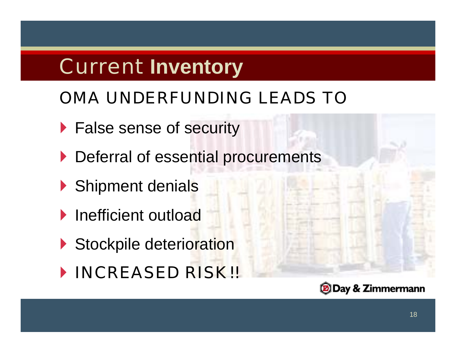## OMA UNDERFUNDING LEADS TO

- **False sense of security**
- ` Deferral of essential procurements
- Shipment denials
- **Inefficient outload**
- Stockpile deterioration
- ` INCREASED RISK!!

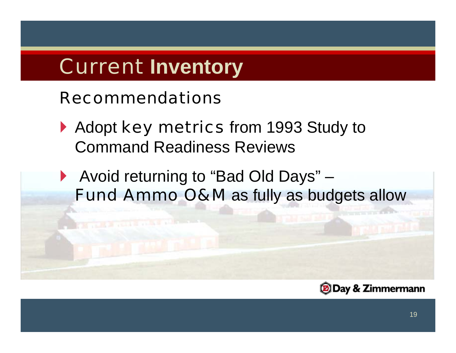#### Recommendations

- Adopt key metrics from 1993 Study to Command Readiness Reviews
- ▶ Avoid returning to "Bad Old Days" Fund Ammo O&M as fully as budgets allow

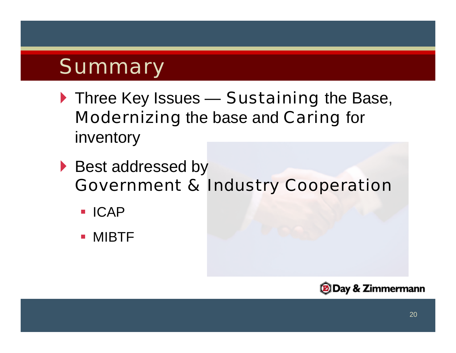## Summary

- Three Key Issues Sustaining the Base, Modernizing the base and Caring for inventory
- ▶ Best addressed by Government & Industry Cooperation
	- **ICAP**
	- **MIBTF**